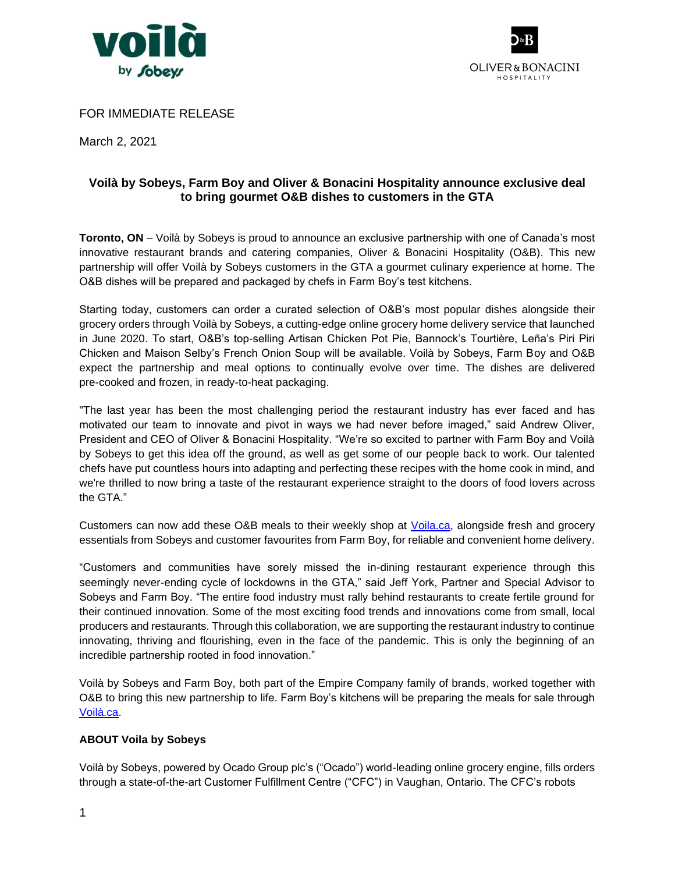



## FOR IMMEDIATE RELEASE

March 2, 2021

# **Voilà by Sobeys, Farm Boy and Oliver & Bonacini Hospitality announce exclusive deal to bring gourmet O&B dishes to customers in the GTA**

**Toronto, ON** – Voilà by Sobeys is proud to announce an exclusive partnership with one of Canada's most innovative restaurant brands and catering companies, Oliver & Bonacini Hospitality (O&B). This new partnership will offer Voilà by Sobeys customers in the GTA a gourmet culinary experience at home. The O&B dishes will be prepared and packaged by chefs in Farm Boy's test kitchens.

Starting today, customers can order a curated selection of O&B's most popular dishes alongside their grocery orders through Voilà by Sobeys, a cutting-edge online grocery home delivery service that launched in June 2020. To start, O&B's top-selling Artisan Chicken Pot Pie, Bannock's Tourtière, Leña's Piri Piri Chicken and Maison Selby's French Onion Soup will be available. Voilà by Sobeys, Farm Boy and O&B expect the partnership and meal options to continually evolve over time. The dishes are delivered pre-cooked and frozen, in ready-to-heat packaging.

"The last year has been the most challenging period the restaurant industry has ever faced and has motivated our team to innovate and pivot in ways we had never before imaged," said Andrew Oliver, President and CEO of Oliver & Bonacini Hospitality. "We're so excited to partner with Farm Boy and Voilà by Sobeys to get this idea off the ground, as well as get some of our people back to work. Our talented chefs have put countless hours into adapting and perfecting these recipes with the home cook in mind, and we're thrilled to now bring a taste of the restaurant experience straight to the doors of food lovers across the GTA."

Customers can now add these O&B meals to their weekly shop at [Voila.ca,](https://voila.ca/) alongside fresh and grocery essentials from Sobeys and customer favourites from Farm Boy, for reliable and convenient home delivery.

"Customers and communities have sorely missed the in-dining restaurant experience through this seemingly never-ending cycle of lockdowns in the GTA," said Jeff York, Partner and Special Advisor to Sobeys and Farm Boy. "The entire food industry must rally behind restaurants to create fertile ground for their continued innovation. Some of the most exciting food trends and innovations come from small, local producers and restaurants. Through this collaboration, we are supporting the restaurant industry to continue innovating, thriving and flourishing, even in the face of the pandemic. This is only the beginning of an incredible partnership rooted in food innovation."

Voilà by Sobeys and Farm Boy, both part of the Empire Company family of brands, worked together with O&B to bring this new partnership to life. Farm Boy's kitchens will be preparing the meals for sale through [Voilà.ca.](https://voila.ca/)

### **ABOUT Voila by Sobeys**

Voilà by Sobeys, powered by Ocado Group plc's ("Ocado") world-leading online grocery engine, fills orders through a state-of-the-art Customer Fulfillment Centre ("CFC") in Vaughan, Ontario. The CFC's robots